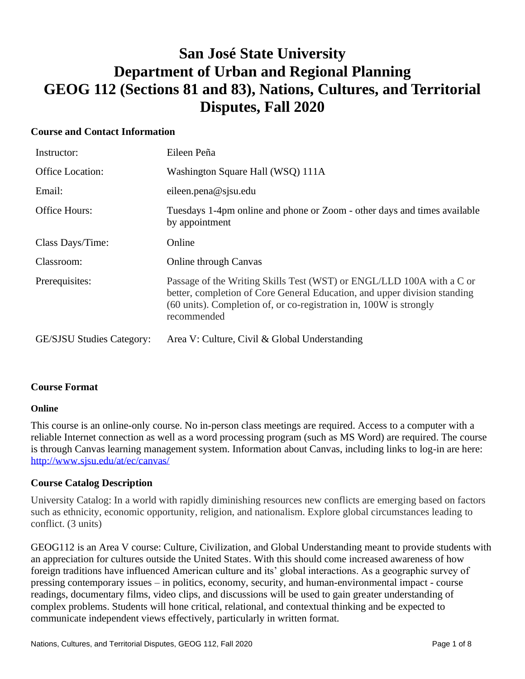# **San José State University Department of Urban and Regional Planning GEOG 112 (Sections 81 and 83), Nations, Cultures, and Territorial Disputes, Fall 2020**

# **Course and Contact Information**

| Instructor:                      | Eileen Peña                                                                                                                                                                                                                             |
|----------------------------------|-----------------------------------------------------------------------------------------------------------------------------------------------------------------------------------------------------------------------------------------|
| <b>Office Location:</b>          | Washington Square Hall (WSQ) 111A                                                                                                                                                                                                       |
| Email:                           | eileen.pena@sjsu.edu                                                                                                                                                                                                                    |
| <b>Office Hours:</b>             | Tuesdays 1-4pm online and phone or Zoom - other days and times available<br>by appointment                                                                                                                                              |
| Class Days/Time:                 | Online                                                                                                                                                                                                                                  |
| Classroom:                       | <b>Online through Canvas</b>                                                                                                                                                                                                            |
| Prerequisites:                   | Passage of the Writing Skills Test (WST) or ENGL/LLD 100A with a C or<br>better, completion of Core General Education, and upper division standing<br>(60 units). Completion of, or co-registration in, 100W is strongly<br>recommended |
| <b>GE/SJSU Studies Category:</b> | Area V: Culture, Civil & Global Understanding                                                                                                                                                                                           |

#### **Course Format**

#### **Online**

This course is an online-only course. No in-person class meetings are required. Access to a computer with a reliable Internet connection as well as a word processing program (such as MS Word) are required. The course is through Canvas learning management system. Information about Canvas, including links to log-in are here: <http://www.sjsu.edu/at/ec/canvas/>

# **Course Catalog Description**

University Catalog: In a world with rapidly diminishing resources new conflicts are emerging based on factors such as ethnicity, economic opportunity, religion, and nationalism. Explore global circumstances leading to conflict. (3 units)

GEOG112 is an Area V course: Culture, Civilization, and Global Understanding meant to provide students with an appreciation for cultures outside the United States. With this should come increased awareness of how foreign traditions have influenced American culture and its' global interactions. As a geographic survey of pressing contemporary issues – in politics, economy, security, and human-environmental impact - course readings, documentary films, video clips, and discussions will be used to gain greater understanding of complex problems. Students will hone critical, relational, and contextual thinking and be expected to communicate independent views effectively, particularly in written format.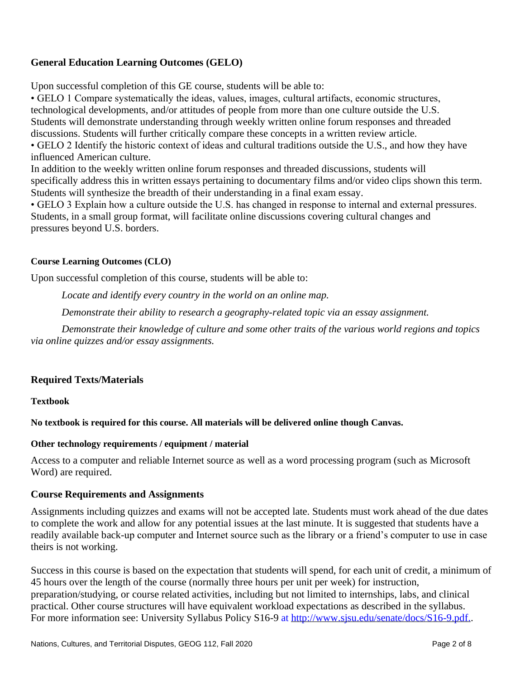# **General Education Learning Outcomes (GELO)**

Upon successful completion of this GE course, students will be able to:

• GELO 1 Compare systematically the ideas, values, images, cultural artifacts, economic structures, technological developments, and/or attitudes of people from more than one culture outside the U.S. Students will demonstrate understanding through weekly written online forum responses and threaded discussions. Students will further critically compare these concepts in a written review article. • GELO 2 Identify the historic context of ideas and cultural traditions outside the U.S., and how they have influenced American culture.

In addition to the weekly written online forum responses and threaded discussions, students will specifically address this in written essays pertaining to documentary films and/or video clips shown this term. Students will synthesize the breadth of their understanding in a final exam essay.

• GELO 3 Explain how a culture outside the U.S. has changed in response to internal and external pressures. Students, in a small group format, will facilitate online discussions covering cultural changes and pressures beyond U.S. borders.

# **Course Learning Outcomes (CLO)**

Upon successful completion of this course, students will be able to:

*Locate and identify every country in the world on an online map.*

*Demonstrate their ability to research a geography-related topic via an essay assignment.*

*Demonstrate their knowledge of culture and some other traits of the various world regions and topics via online quizzes and/or essay assignments.*

#### **Required Texts/Materials**

**Textbook**

**No textbook is required for this course. All materials will be delivered online though Canvas.**

#### **Other technology requirements / equipment / material**

Access to a computer and reliable Internet source as well as a word processing program (such as Microsoft Word) are required.

#### **Course Requirements and Assignments**

Assignments including quizzes and exams will not be accepted late. Students must work ahead of the due dates to complete the work and allow for any potential issues at the last minute. It is suggested that students have a readily available back-up computer and Internet source such as the library or a friend's computer to use in case theirs is not working.

Success in this course is based on the expectation that students will spend, for each unit of credit, a minimum of 45 hours over the length of the course (normally three hours per unit per week) for instruction, preparation/studying, or course related activities, including but not limited to internships, labs, and clinical practical. Other course structures will have equivalent workload expectations as described in the syllabus. For more information see: [University Syllabus Policy S16-9](http://www.sjsu.edu/senate/docs/S16-9.pdf) at http://www.sisu.edu/senate/docs/S16-9.pdf..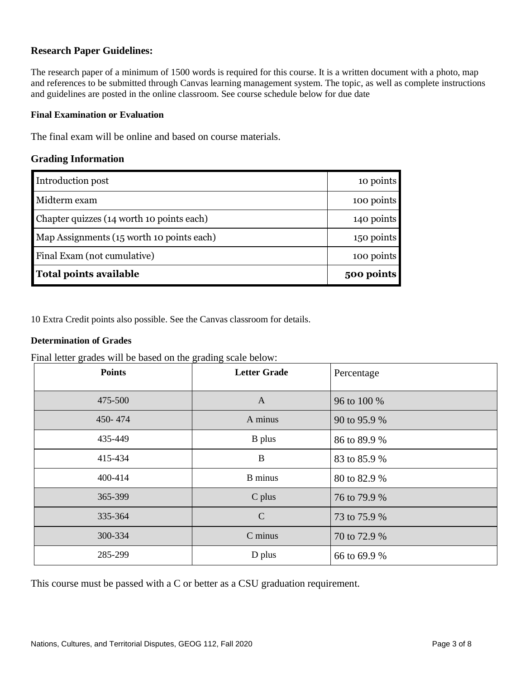#### **Research Paper Guidelines:**

The research paper of a minimum of 1500 words is required for this course. It is a written document with a photo, map and references to be submitted through Canvas learning management system. The topic, as well as complete instructions and guidelines are posted in the online classroom. See course schedule below for due date

#### **Final Examination or Evaluation**

The final exam will be online and based on course materials.

#### **Grading Information**

| Introduction post                         | 10 points  |
|-------------------------------------------|------------|
| Midterm exam                              | 100 points |
| Chapter quizzes (14 worth 10 points each) | 140 points |
| Map Assignments (15 worth 10 points each) | 150 points |
| Final Exam (not cumulative)               | 100 points |
| <b>Total points available</b>             | 500 points |

10 Extra Credit points also possible. See the Canvas classroom for details.

#### **Determination of Grades**

Final letter grades will be based on the grading scale below:

| o<br><b>Points</b> | o<br>$\circ$<br><b>Letter Grade</b> | Percentage   |
|--------------------|-------------------------------------|--------------|
| 475-500            | $\mathbf{A}$                        | 96 to 100 %  |
| 450-474            | A minus                             | 90 to 95.9 % |
| 435-449            | <b>B</b> plus                       | 86 to 89.9 % |
| 415-434            | B                                   | 83 to 85.9 % |
| 400-414            | <b>B</b> minus                      | 80 to 82.9 % |
| 365-399            | C plus                              | 76 to 79.9 % |
| 335-364            | $\mathcal{C}$                       | 73 to 75.9 % |
| 300-334            | C minus                             | 70 to 72.9 % |
| 285-299            | D plus                              | 66 to 69.9 % |

This course must be passed with a C or better as a CSU graduation requirement.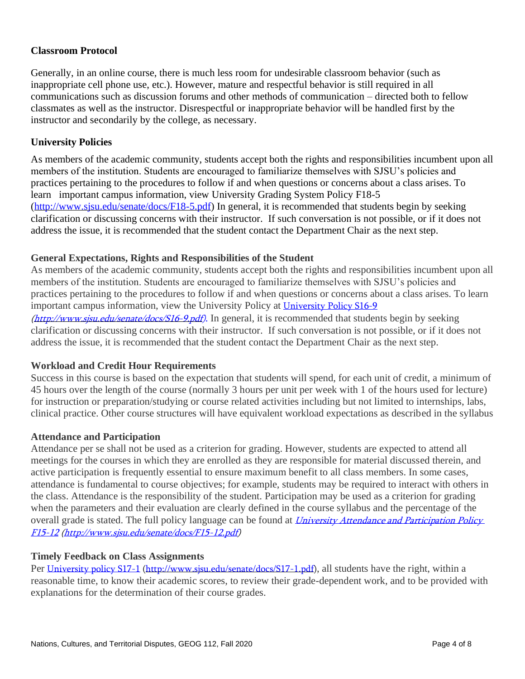# **Classroom Protocol**

Generally, in an online course, there is much less room for undesirable classroom behavior (such as inappropriate cell phone use, etc.). However, mature and respectful behavior is still required in all communications such as discussion forums and other methods of communication – directed both to fellow classmates as well as the instructor. Disrespectful or inappropriate behavior will be handled first by the instructor and secondarily by the college, as necessary.

# **University Policies**

As members of the academic community, students accept both the rights and responsibilities incumbent upon all members of the institution. Students are encouraged to familiarize themselves with SJSU's policies and practices pertaining to the procedures to follow if and when questions or concerns about a class arises. To learn important campus information, view [University Grading System Policy F18-5](http://www.sjsu.edu/senate/docs/F18-5.pdf) [\(http://www.sjsu.edu/senate/docs/F18-5.pdf\)](http://www.sjsu.edu/senate/docs/F18-5.pdf) In general, it is recommended that students begin by seeking clarification or discussing concerns with their instructor. If such conversation is not possible, or if it does not address the issue, it is recommended that the student contact the Department Chair as the next step.

# **General Expectations, Rights and Responsibilities of the Student**

As members of the academic community, students accept both the rights and responsibilities incumbent upon all members of the institution. Students are encouraged to familiarize themselves with SJSU's policies and practices pertaining to the procedures to follow if and when questions or concerns about a class arises. To learn important campus information, view the University Policy at [University Policy S16-9](http://www.sjsu.edu/senate/docs/S16-9.pdf) [\(http://www.sjsu.edu/senate/docs/S16-9.pdf\)](http://www.sjsu.edu/senate/docs/S16-9.pdf). In general, it is recommended that students begin by seeking clarification or discussing concerns with their instructor. If such conversation is not possible, or if it does not address the issue, it is recommended that the student contact the Department Chair as the next step.

#### **Workload and Credit Hour Requirements**

Success in this course is based on the expectation that students will spend, for each unit of credit, a minimum of 45 hours over the length of the course (normally 3 hours per unit per week with 1 of the hours used for lecture) for instruction or preparation/studying or course related activities including but not limited to internships, labs, clinical practice. Other course structures will have equivalent workload expectations as described in the syllabus

#### **Attendance and Participation**

Attendance per se shall not be used as a criterion for grading. However, students are expected to attend all meetings for the courses in which they are enrolled as they are responsible for material discussed therein, and active participation is frequently essential to ensure maximum benefit to all class members. In some cases, attendance is fundamental to course objectives; for example, students may be required to interact with others in the class. Attendance is the responsibility of the student. Participation may be used as a criterion for grading when the parameters and their evaluation are clearly defined in the course syllabus and the percentage of the overall grade is stated. The full policy language can be found at *University Attendance and Participation Policy* F15-12 [\(http://www.sjsu.edu/senate/docs/F15-12.pdf\)](http://www.sjsu.edu/senate/docs/F15-12.pdf)

#### **Timely Feedback on Class Assignments**

Per [University policy S17-1](http://www.sjsu.edu/senate/docs/S17-1.pdf) [\(http://www.sjsu.edu/senate/docs/S17-1.pdf\)](http://www.sjsu.edu/senate/docs/S17-1.pdf), all students have the right, within a reasonable time, to know their academic scores, to review their grade-dependent work, and to be provided with explanations for the determination of their course grades.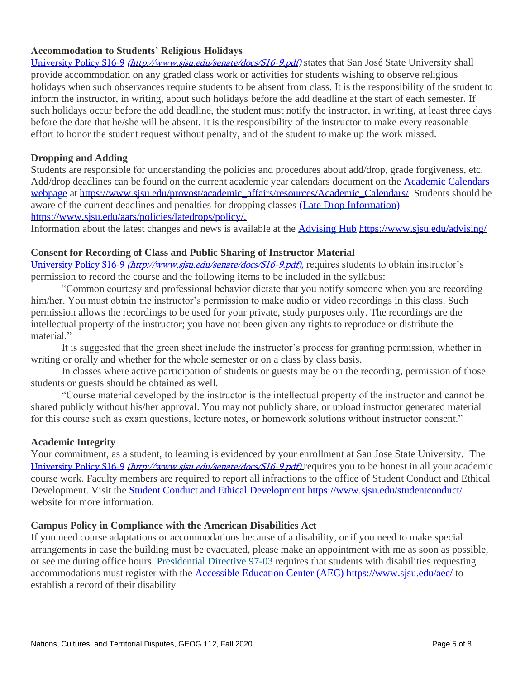#### **Accommodation to Students' Religious Holidays**

[University Policy S16-9](http://www.sjsu.edu/senate/docs/S16-9.pdf) *[\(http://www.sjsu.edu/senate/docs/S16-9.pdf\)](http://www.sjsu.edu/senate/docs/S16-9.pdf)* states that San José State University shall provide accommodation on any graded class work or activities for students wishing to observe religious holidays when such observances require students to be absent from class. It is the responsibility of the student to inform the instructor, in writing, about such holidays before the add deadline at the start of each semester. If such holidays occur before the add deadline, the student must notify the instructor, in writing, at least three days before the date that he/she will be absent. It is the responsibility of the instructor to make every reasonable effort to honor the student request without penalty, and of the student to make up the work missed.

#### **Dropping and Adding**

Students are responsible for understanding the policies and procedures about add/drop, grade forgiveness, etc. Add/drop deadlines can be found on the current academic year calendars document on the Academic Calendars [webpage](http://www.sjsu.edu/provost/services/academic_calendars/) at [https://www.sjsu.edu/provost/academic\\_affairs/resources/Academic\\_Calendars/](http://www.sjsu.edu/provost/services/academic_calendars/) Students should be aware of the current deadlines and penalties for dropping classes [\(Late Drop Information\)](http://www.sjsu.edu/aars/policies/latedrops/policy/) [https://www.sjsu.edu/aars/policies/latedrops/policy/.](http://www.sjsu.edu/aars/policies/latedrops/policy/)

Information about the latest changes and news is available at the [Advising Hub](http://www.sjsu.edu/advising/) [https://www.sjsu.edu/advising/](http://www.sjsu.edu/advising/)

# **Consent for Recording of Class and Public Sharing of Instructor Material**

[University Policy S16-9](http://www.sjsu.edu/senate/docs/S16-9.pdf) *[\(http://www.sjsu.edu/senate/docs/S16-9.pdf\)](http://www.sjsu.edu/senate/docs/S16-9.pdf)*, requires students to obtain instructor's permission to record the course and the following items to be included in the syllabus:

"Common courtesy and professional behavior dictate that you notify someone when you are recording him/her. You must obtain the instructor's permission to make audio or video recordings in this class. Such permission allows the recordings to be used for your private, study purposes only. The recordings are the intellectual property of the instructor; you have not been given any rights to reproduce or distribute the material."

It is suggested that the green sheet include the instructor's process for granting permission, whether in writing or orally and whether for the whole semester or on a class by class basis.

In classes where active participation of students or guests may be on the recording, permission of those students or guests should be obtained as well.

"Course material developed by the instructor is the intellectual property of the instructor and cannot be shared publicly without his/her approval. You may not publicly share, or upload instructor generated material for this course such as exam questions, lecture notes, or homework solutions without instructor consent."

#### **Academic Integrity**

Your commitment, as a student, to learning is evidenced by your enrollment at San Jose State University. The [University Policy S16-9](http://www.sjsu.edu/senate/docs/S16-9.pdf) *[\(http://www.sjsu.edu/senate/docs/S16-9.pdf\)](http://www.sjsu.edu/senate/docs/S16-9.pdf)* requires you to be honest in all your academic course work. Faculty members are required to report all infractions to the office of Student Conduct and Ethical Development. Visit the [Student Conduct and Ethical Development](http://www.sjsu.edu/studentconduct/) <https://www.sjsu.edu/studentconduct/> website for more information.

#### **Campus Policy in Compliance with the American Disabilities Act**

If you need course adaptations or accommodations because of a disability, or if you need to make special arrangements in case the building must be evacuated, please make an appointment with me as soon as possible, or see me during office hours. [Presidential Directive 97-03](http://www.sjsu.edu/president/docs/directives/PD_1997-03.pdf) requires that students with disabilities requesting accommodations must register with the [Accessible Education Center](http://www.sjsu.edu/aec) (AEC)<https://www.sjsu.edu/aec/> to establish a record of their disability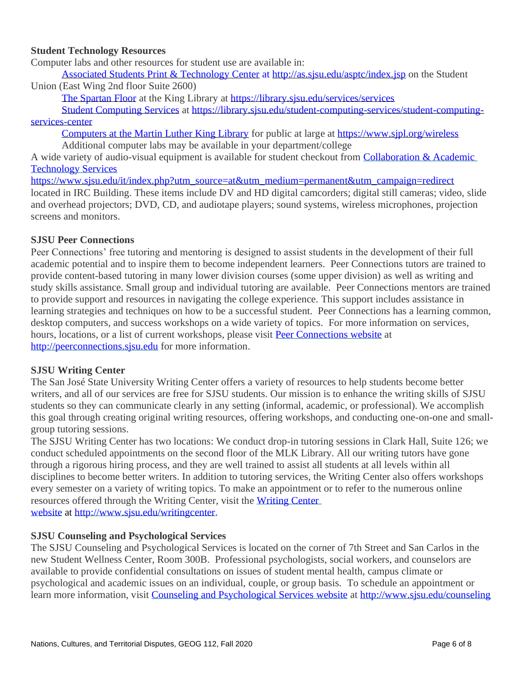#### **Student Technology Resources**

Computer labs and other resources for student use are available in:

[Associated Students Print & Technology Center](http://as.sjsu.edu/asptc/index.jsp) at<http://as.sjsu.edu/asptc/index.jsp> on the Student Union (East Wing 2nd floor Suite 2600)

[The Spartan Floor](https://library.sjsu.edu/services/services) at the King Library at <https://library.sjsu.edu/services/services>

[Student Computing Services](https://library.sjsu.edu/student-computing-services/student-computing-services-center) at [https://library.sjsu.edu/student-computing-services/student-computing](https://library.sjsu.edu/student-computing-services/student-computing-services-center)[services-center](https://library.sjsu.edu/student-computing-services/student-computing-services-center)

[Computers at the Martin Luther King Library](https://www.sjpl.org/wireless) for public at large at <https://www.sjpl.org/wireless> Additional computer labs may be available in your department/college

A wide variety of audio-visual equipment is available for student checkout from [Collaboration & Academic](http://www.sjsu.edu/at/)  [Technology Services](http://www.sjsu.edu/at/)

https://www.sisu.edu/it/index.php?utm\_source=at&utm\_medium=permanent&utm\_campaign=redirect located in IRC Building. These items include DV and HD digital camcorders; digital still cameras; video, slide and overhead projectors; DVD, CD, and audiotape players; sound systems, wireless microphones, projection screens and monitors.

#### **SJSU Peer Connections**

Peer Connections' free tutoring and mentoring is designed to assist students in the development of their full academic potential and to inspire them to become independent learners. Peer Connections tutors are trained to provide content-based tutoring in many lower division courses (some upper division) as well as writing and study skills assistance. Small group and individual tutoring are available. Peer Connections mentors are trained to provide support and resources in navigating the college experience. This support includes assistance in learning strategies and techniques on how to be a successful student. Peer Connections has a learning common, desktop computers, and success workshops on a wide variety of topics. For more information on services, hours, locations, or a list of current workshops, please visit [Peer Connections website](http://peerconnections.sjsu.edu/) at [http://peerconnections.sjsu.edu](http://peerconnections.sjsu.edu/) for more information.

#### **SJSU Writing Center**

The San José State University Writing Center offers a variety of resources to help students become better writers, and all of our services are free for SJSU students. Our mission is to enhance the writing skills of SJSU students so they can communicate clearly in any setting (informal, academic, or professional). We accomplish this goal through creating original writing resources, offering workshops, and conducting one-on-one and smallgroup tutoring sessions.

The SJSU Writing Center has two locations: We conduct drop-in tutoring sessions in Clark Hall, Suite 126; we conduct scheduled appointments on the second floor of the MLK Library. All our writing tutors have gone through a rigorous hiring process, and they are well trained to assist all students at all levels within all disciplines to become better writers. In addition to tutoring services, the Writing Center also offers workshops every semester on a variety of writing topics. To make an appointment or to refer to the numerous online resources offered through the Writing Center, visit the [Writing Center](http://www.sjsu.edu/writingcenter)  [website](http://www.sjsu.edu/writingcenter) at [http://www.sjsu.edu/writingcenter.](http://www.sjsu.edu/writingcenter)

#### **SJSU Counseling and Psychological Services**

The SJSU Counseling and Psychological Services is located on the corner of 7th Street and San Carlos in the new Student Wellness Center, Room 300B. Professional psychologists, social workers, and counselors are available to provide confidential consultations on issues of student mental health, campus climate or psychological and academic issues on an individual, couple, or group basis. To schedule an appointment or learn more information, visit [Counseling and Psychological Services website](http://www.sjsu.edu/counseling) at <http://www.sjsu.edu/counseling>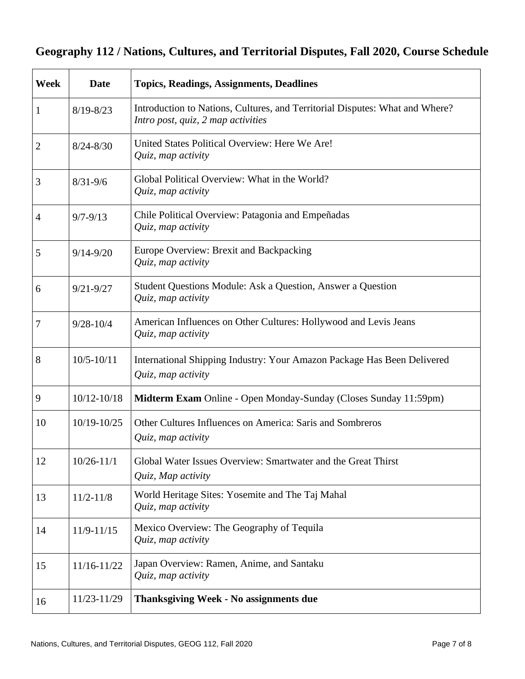# **Geography 112 / Nations, Cultures, and Territorial Disputes, Fall 2020, Course Schedule**

| <b>Week</b>    | <b>Date</b>     | <b>Topics, Readings, Assignments, Deadlines</b>                                                                    |
|----------------|-----------------|--------------------------------------------------------------------------------------------------------------------|
| 1              | $8/19 - 8/23$   | Introduction to Nations, Cultures, and Territorial Disputes: What and Where?<br>Intro post, quiz, 2 map activities |
| $\overline{2}$ | $8/24 - 8/30$   | United States Political Overview: Here We Are!<br>Quiz, map activity                                               |
| 3              | $8/31 - 9/6$    | Global Political Overview: What in the World?<br>Quiz, map activity                                                |
| $\overline{4}$ | $9/7 - 9/13$    | Chile Political Overview: Patagonia and Empeñadas<br>Quiz, map activity                                            |
| 5              | $9/14 - 9/20$   | Europe Overview: Brexit and Backpacking<br>Quiz, map activity                                                      |
| 6              | $9/21 - 9/27$   | Student Questions Module: Ask a Question, Answer a Question<br>Quiz, map activity                                  |
| 7              | $9/28 - 10/4$   | American Influences on Other Cultures: Hollywood and Levis Jeans<br>Quiz, map activity                             |
| 8              | $10/5 - 10/11$  | International Shipping Industry: Your Amazon Package Has Been Delivered<br>Quiz, map activity                      |
| 9              | $10/12 - 10/18$ | Midterm Exam Online - Open Monday-Sunday (Closes Sunday 11:59pm)                                                   |
| 10             | $10/19 - 10/25$ | Other Cultures Influences on America: Saris and Sombreros<br>Quiz, map activity                                    |
| 12             | $10/26 - 11/1$  | Global Water Issues Overview: Smartwater and the Great Thirst<br>Quiz, Map activity                                |
| 13             | $11/2 - 11/8$   | World Heritage Sites: Yosemite and The Taj Mahal<br>Quiz, map activity                                             |
| 14             | $11/9 - 11/15$  | Mexico Overview: The Geography of Tequila<br>Quiz, map activity                                                    |
| 15             | 11/16-11/22     | Japan Overview: Ramen, Anime, and Santaku<br>Quiz, map activity                                                    |
| 16             | 11/23-11/29     | <b>Thanksgiving Week - No assignments due</b>                                                                      |